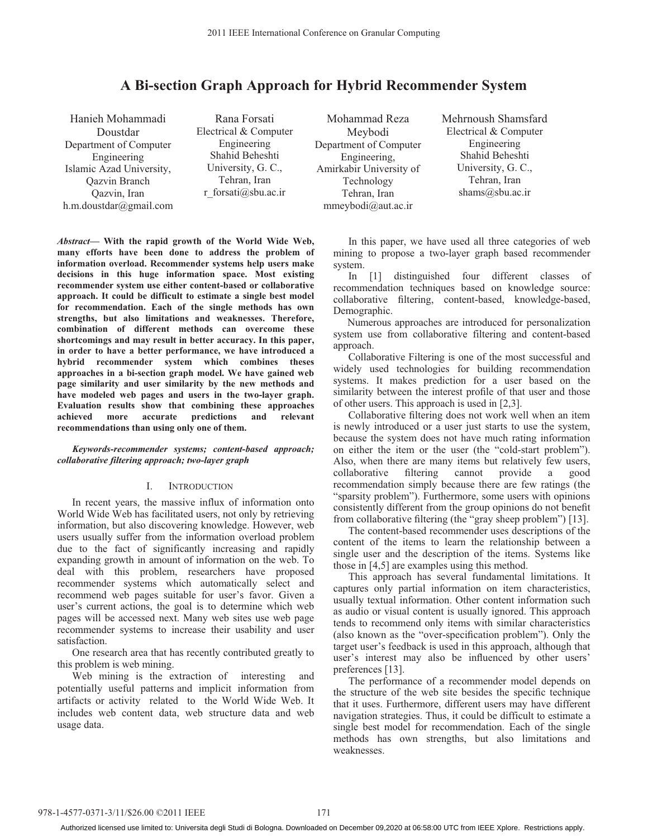# **A Bi-section Graph Approach for Hybrid Recommender System**

Hanieh Mohammadi Doustdar Department of Computer Engineering Islamic Azad University, Qazvin Branch Qazvin, Iran h.m.doustdar@gmail.com

Rana Forsati Electrical & Computer Engineering Shahid Beheshti University, G. C., Tehran, Iran r\_forsati@sbu.ac.ir

Mohammad Reza Meybodi Department of Computer Engineering, Amirkabir University of Technology Tehran, Iran mmeybodi@aut.ac.ir

Mehrnoush Shamsfard Electrical & Computer Engineering Shahid Beheshti University, G. C., Tehran, Iran shams@sbu.ac.ir

In this paper, we have used all three categories of web mining to propose a two-layer graph based recommender system.

In [1] distinguished four different classes of recommendation techniques based on knowledge source: collaborative filtering, content-based, knowledge-based, Demographic.

Numerous approaches are introduced for personalization system use from collaborative filtering and content-based approach.

Collaborative Filtering is one of the most successful and widely used technologies for building recommendation systems. It makes prediction for a user based on the similarity between the interest profile of that user and those of other users. This approach is used in [2,3].

Collaborative filtering does not work well when an item is newly introduced or a user just starts to use the system, because the system does not have much rating information on either the item or the user (the "cold-start problem"). Also, when there are many items but relatively few users, collaborative filtering cannot provide a good recommendation simply because there are few ratings (the "sparsity problem"). Furthermore, some users with opinions consistently different from the group opinions do not benefit from collaborative filtering (the "gray sheep problem") [13].

The content-based recommender uses descriptions of the content of the items to learn the relationship between a single user and the description of the items. Systems like those in [4,5] are examples using this method.

This approach has several fundamental limitations. It captures only partial information on item characteristics, usually textual information. Other content information such as audio or visual content is usually ignored. This approach tends to recommend only items with similar characteristics (also known as the "over-specification problem"). Only the target user's feedback is used in this approach, although that user's interest may also be influenced by other users' preferences [13].

The performance of a recommender model depends on the structure of the web site besides the specific technique that it uses. Furthermore, different users may have different navigation strategies. Thus, it could be difficult to estimate a single best model for recommendation. Each of the single methods has own strengths, but also limitations and weaknesses.

**many efforts have been done to address the problem of information overload. Recommender systems help users make decisions in this huge information space. Most existing recommender system use either content-based or collaborative approach. It could be difficult to estimate a single best model for recommendation. Each of the single methods has own strengths, but also limitations and weaknesses. Therefore, combination of different methods can overcome these shortcomings and may result in better accuracy. In this paper, in order to have a better performance, we have introduced a hybrid recommender system which combines theses approaches in a bi-section graph model. We have gained web page similarity and user similarity by the new methods and have modeled web pages and users in the two-layer graph. Evaluation results show that combining these approaches achieved more accurate predictions and relevant recommendations than using only one of them.** 

*Abstract***— With the rapid growth of the World Wide Web,** 

*Keywords-recommender systems; content-based approach; collaborative filtering approach; two-layer graph* 

# I. INTRODUCTION

In recent years, the massive influx of information onto World Wide Web has facilitated users, not only by retrieving information, but also discovering knowledge. However, web users usually suffer from the information overload problem due to the fact of significantly increasing and rapidly expanding growth in amount of information on the web. To deal with this problem, researchers have proposed recommender systems which automatically select and recommend web pages suitable for user's favor. Given a user's current actions, the goal is to determine which web pages will be accessed next. Many web sites use web page recommender systems to increase their usability and user satisfaction.

One research area that has recently contributed greatly to this problem is web mining.

Web mining is the extraction of interesting and potentially useful patterns and implicit information from artifacts or activity related to the World Wide Web. It includes web content data, web structure data and web usage data.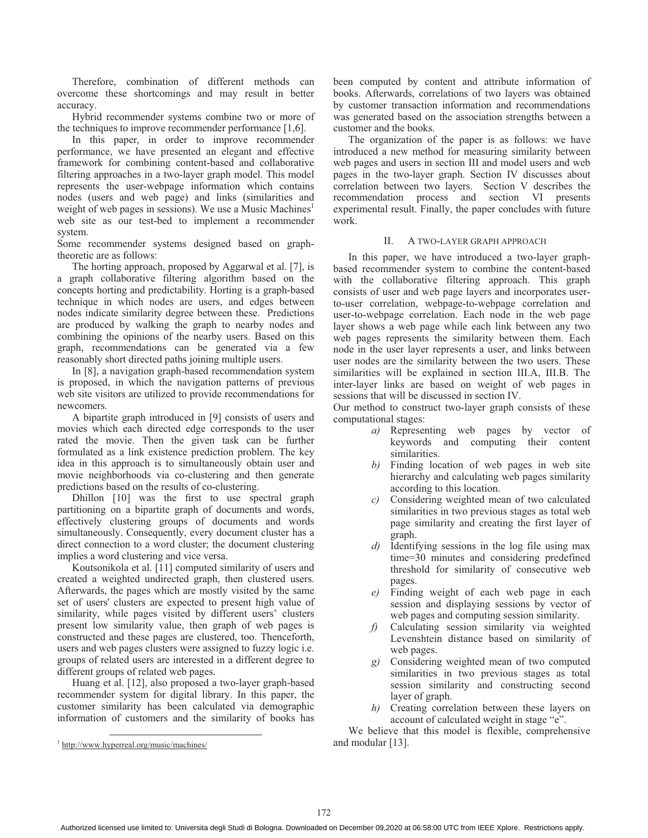Therefore, combination of different methods can overcome these shortcomings and may result in better accuracy.

Hybrid recommender systems combine two or more of the techniques to improve recommender performance [1,6].

In this paper, in order to improve recommender performance, we have presented an elegant and effective framework for combining content-based and collaborative filtering approaches in a two-layer graph model. This model represents the user-webpage information which contains nodes (users and web page) and links (similarities and weight of web pages in sessions). We use a Music Machines<sup>1</sup> web site as our test-bed to implement a recommender system.

Some recommender systems designed based on graphtheoretic are as follows:

The horting approach, proposed by Aggarwal et al. [7], is a graph collaborative filtering algorithm based on the concepts horting and predictability. Horting is a graph-based technique in which nodes are users, and edges between nodes indicate similarity degree between these. Predictions are produced by walking the graph to nearby nodes and combining the opinions of the nearby users. Based on this graph, recommendations can be generated via a few reasonably short directed paths joining multiple users.

In [8], a navigation graph-based recommendation system is proposed, in which the navigation patterns of previous web site visitors are utilized to provide recommendations for newcomers.

A bipartite graph introduced in [9] consists of users and movies which each directed edge corresponds to the user rated the movie. Then the given task can be further formulated as a link existence prediction problem. The key idea in this approach is to simultaneously obtain user and movie neighborhoods via co-clustering and then generate predictions based on the results of co-clustering.

Dhillon [10] was the first to use spectral graph partitioning on a bipartite graph of documents and words, effectively clustering groups of documents and words simultaneously. Consequently, every document cluster has a direct connection to a word cluster; the document clustering implies a word clustering and vice versa.

Koutsonikola et al. [11] computed similarity of users and created a weighted undirected graph, then clustered users. Afterwards, the pages which are mostly visited by the same set of users' clusters are expected to present high value of similarity, while pages visited by different users' clusters present low similarity value, then graph of web pages is constructed and these pages are clustered, too. Thenceforth, users and web pages clusters were assigned to fuzzy logic i.e. groups of related users are interested in a different degree to different groups of related web pages.

Huang et al. [12], also proposed a two-layer graph-based recommender system for digital library. In this paper, the customer similarity has been calculated via demographic information of customers and the similarity of books has

been computed by content and attribute information of books. Afterwards, correlations of two layers was obtained by customer transaction information and recommendations was generated based on the association strengths between a customer and the books.

The organization of the paper is as follows: we have introduced a new method for measuring similarity between web pages and users in section III and model users and web pages in the two-layer graph. Section IV discusses about correlation between two layers. Section V describes the recommendation process and section VI presents experimental result. Finally, the paper concludes with future work.

# II. A TWO-LAYER GRAPH APPROACH

In this paper, we have introduced a two-layer graphbased recommender system to combine the content-based with the collaborative filtering approach. This graph consists of user and web page layers and incorporates userto-user correlation, webpage-to-webpage correlation and user-to-webpage correlation. Each node in the web page layer shows a web page while each link between any two web pages represents the similarity between them. Each node in the user layer represents a user, and links between user nodes are the similarity between the two users. These similarities will be explained in section III.A, III.B. The inter-layer links are based on weight of web pages in sessions that will be discussed in section IV.

Our method to construct two-layer graph consists of these computational stages:

- *a)* Representing web pages by vector of keywords and computing their content similarities.
- *b)* Finding location of web pages in web site hierarchy and calculating web pages similarity according to this location.
- *c)* Considering weighted mean of two calculated similarities in two previous stages as total web page similarity and creating the first layer of graph.
- *d)* Identifying sessions in the log file using max time=30 minutes and considering predefined threshold for similarity of consecutive web pages.
- *e)* Finding weight of each web page in each session and displaying sessions by vector of web pages and computing session similarity.
- *f)* Calculating session similarity via weighted Levenshtein distance based on similarity of web pages.
- *g)* Considering weighted mean of two computed similarities in two previous stages as total session similarity and constructing second layer of graph.
- *h)* Creating correlation between these layers on account of calculated weight in stage "e".

We believe that this model is flexible, comprehensive and modular [13].

<sup>&</sup>lt;sup>1</sup> http://www.hyperreal.org/music/machines/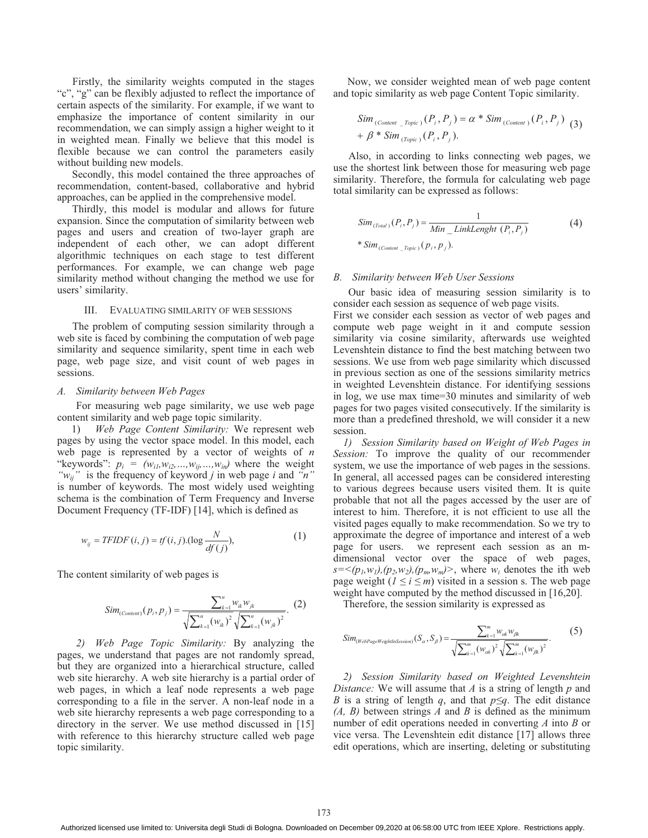Firstly, the similarity weights computed in the stages "c", "g" can be flexibly adjusted to reflect the importance of certain aspects of the similarity. For example, if we want to emphasize the importance of content similarity in our recommendation, we can simply assign a higher weight to it in weighted mean. Finally we believe that this model is flexible because we can control the parameters easily without building new models.

Secondly, this model contained the three approaches of recommendation, content-based, collaborative and hybrid approaches, can be applied in the comprehensive model.

Thirdly, this model is modular and allows for future expansion. Since the computation of similarity between web pages and users and creation of two-layer graph are independent of each other, we can adopt different algorithmic techniques on each stage to test different performances. For example, we can change web page similarity method without changing the method we use for users' similarity.

### III. EVALUATING SIMILARITY OF WEB SESSIONS

The problem of computing session similarity through a web site is faced by combining the computation of web page similarity and sequence similarity, spent time in each web page, web page size, and visit count of web pages in sessions.

### *A. Similarity between Web Pages*

For measuring web page similarity, we use web page content similarity and web page topic similarity.

1) *Web Page Content Similarity:* We represent web pages by using the vector space model. In this model, each web page is represented by a vector of weights of *n* "keywords":  $p_i = (w_{i1}, w_{i2}, \dots, w_{ij}, \dots, w_{in})$  where the weight *"wij"* is the frequency of keyword *j* in web page *i* and *"n"* is number of keywords. The most widely used weighting schema is the combination of Term Frequency and Inverse Document Frequency (TF-IDF) [14], which is defined as

$$
w_{ij} = T FIDF(i, j) = tf(i, j).(\log \frac{N}{df(j)}),
$$
\n(1)

The content similarity of web pages is

$$
Sim_{(Content)}(p_i, p_j) = \frac{\sum_{k=1}^{n} w_{ik} w_{jk}}{\sqrt{\sum_{k=1}^{n} (w_{ik})^2} \sqrt{\sum_{k=1}^{n} (w_{jk})^2}}.
$$
 (2)

*2) Web Page Topic Similarity:* By analyzing the pages, we understand that pages are not randomly spread, but they are organized into a hierarchical structure, called web site hierarchy. A web site hierarchy is a partial order of web pages, in which a leaf node represents a web page corresponding to a file in the server. A non-leaf node in a web site hierarchy represents a web page corresponding to a directory in the server. We use method discussed in [15] with reference to this hierarchy structure called web page topic similarity.

Now, we consider weighted mean of web page content and topic similarity as web page Content Topic similarity.

$$
Sim_{(Content\_Topic)} (P_i, P_j) = \alpha * Sim_{(Content)} (P_i, P_j)
$$
  
+  $\beta * Sim_{(Topic)} (P_i, P_j)$ . (3)

Also, in according to links connecting web pages, we use the shortest link between those for measuring web page similarity. Therefore, the formula for calculating web page total similarity can be expressed as follows:

$$
Sim_{(Total)}(P_i, P_j) = \frac{1}{Min\_LinkLength (P_i, P_j)}
$$
\n
$$
* Sim_{(Content\_Topic)} (P_i, P_j).
$$
\n(4)

## *B. Similarity between Web User Sessions*

Our basic idea of measuring session similarity is to consider each session as sequence of web page visits.

First we consider each session as vector of web pages and compute web page weight in it and compute session similarity via cosine similarity, afterwards use weighted Levenshtein distance to find the best matching between two sessions. We use from web page similarity which discussed in previous section as one of the sessions similarity metrics in weighted Levenshtein distance. For identifying sessions in log, we use max time=30 minutes and similarity of web pages for two pages visited consecutively. If the similarity is more than a predefined threshold, we will consider it a new session.

*1) Session Similarity based on Weight of Web Pages in Session:* To improve the quality of our recommender system, we use the importance of web pages in the sessions. In general, all accessed pages can be considered interesting to various degrees because users visited them. It is quite probable that not all the pages accessed by the user are of interest to him. Therefore, it is not efficient to use all the visited pages equally to make recommendation. So we try to approximate the degree of importance and interest of a web page for users. we represent each session as an mdimensional vector over the space of web pages,  $s = \langle (p_l, w_l), (p_2, w_2), (p_m, w_m) \rangle$ , where  $w_i$  denotes the ith web page weight  $(l \le i \le m)$  visited in a session s. The web page weight have computed by the method discussed in [16,20].

Therefore, the session similarity is expressed as

$$
Sim_{(WebPageWeightInSession)}(S_{\alpha}, S_{\beta}) = \frac{\sum_{k=1}^{m} w_{\alpha k} w_{\beta k}}{\sqrt{\sum_{k=1}^{m} (w_{\alpha k})^{2}} \sqrt{\sum_{k=1}^{m} (w_{\beta k})^{2}}}.
$$
 (5)

*2) Session Similarity based on Weighted Levenshtein Distance:* We will assume that *A* is a string of length *p* and *B* is a string of length *q*, and that  $p \leq q$ . The edit distance *(A, B)* between strings *A* and *B* is defined as the minimum number of edit operations needed in converting *A* into *B* or vice versa. The Levenshtein edit distance [17] allows three edit operations, which are inserting, deleting or substituting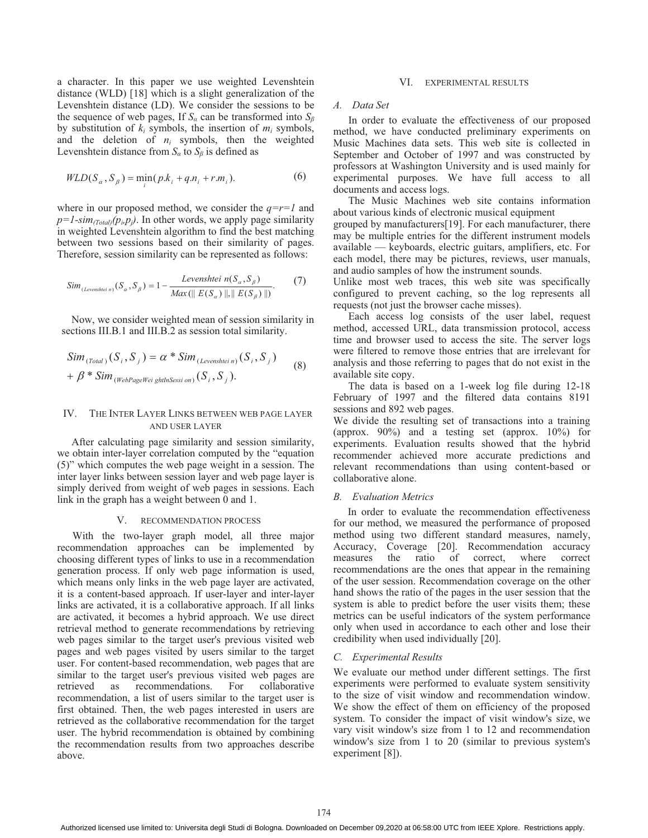a character. In this paper we use weighted Levenshtein distance (WLD) [18] which is a slight generalization of the Levenshtein distance (LD). We consider the sessions to be the sequence of web pages, If  $S_a$  can be transformed into  $S_b$ by substitution of  $k_i$  symbols, the insertion of  $m_i$  symbols, and the deletion of *ni* symbols, then the weighted Levenshtein distance from  $S_a$  to  $S_\beta$  is defined as

$$
WLD(S_{\alpha}, S_{\beta}) = \min_{i} (p.k_i + q.n_i + r.m_i). \tag{6}
$$

where in our proposed method, we consider the *q=r=1* and  $p=1-sim_{(Total)}(p_i,p_j)$ . In other words, we apply page similarity in weighted Levenshtein algorithm to find the best matching between two sessions based on their similarity of pages. Therefore, session similarity can be represented as follows:

$$
Sim_{(Levenshtein)}(S_{\alpha}, S_{\beta}) = 1 - \frac{Levenshtein (S_{\alpha}, S_{\beta})}{Max(||E(S_{\alpha})||, ||E(S_{\beta})||)}.
$$
 (7)

Now, we consider weighted mean of session similarity in sections III.B.1 and III.B.2 as session total similarity.

$$
Sim_{(Total)}(S_i, S_j) = \alpha * Sim_{(Levenshtein)}(S_i, S_j)
$$
  
+  $\beta * Sim_{(WebPageWei ghtlnSessi on)}(S_i, S_j)$ . (8)

# IV. THE INTER LAYER LINKS BETWEEN WEB PAGE LAYER AND USER LAYER

After calculating page similarity and session similarity, we obtain inter-layer correlation computed by the "equation (5)" which computes the web page weight in a session. The inter layer links between session layer and web page layer is simply derived from weight of web pages in sessions. Each link in the graph has a weight between 0 and 1.

# V. RECOMMENDATION PROCESS

With the two-layer graph model, all three major recommendation approaches can be implemented by choosing different types of links to use in a recommendation generation process. If only web page information is used, which means only links in the web page layer are activated, it is a content-based approach. If user-layer and inter-layer links are activated, it is a collaborative approach. If all links are activated, it becomes a hybrid approach. We use direct retrieval method to generate recommendations by retrieving web pages similar to the target user's previous visited web pages and web pages visited by users similar to the target user. For content-based recommendation, web pages that are similar to the target user's previous visited web pages are retrieved as recommendations. For collaborative recommendation, a list of users similar to the target user is first obtained. Then, the web pages interested in users are retrieved as the collaborative recommendation for the target user. The hybrid recommendation is obtained by combining the recommendation results from two approaches describe above.

# VI. EXPERIMENTAL RESULTS

#### *A. Data Set*

In order to evaluate the effectiveness of our proposed method, we have conducted preliminary experiments on Music Machines data sets. This web site is collected in September and October of 1997 and was constructed by professors at Washington University and is used mainly for experimental purposes. We have full access to all documents and access logs.

The Music Machines web site contains information about various kinds of electronic musical equipment grouped by manufacturers[19]. For each manufacturer, there may be multiple entries for the different instrument models available — keyboards, electric guitars, amplifiers, etc. For each model, there may be pictures, reviews, user manuals, and audio samples of how the instrument sounds.

Unlike most web traces, this web site was specifically configured to prevent caching, so the log represents all requests (not just the browser cache misses).

Each access log consists of the user label, request method, accessed URL, data transmission protocol, access time and browser used to access the site. The server logs were filtered to remove those entries that are irrelevant for analysis and those referring to pages that do not exist in the available site copy.

The data is based on a 1-week log file during 12-18 February of 1997 and the filtered data contains 8191 sessions and 892 web pages.

We divide the resulting set of transactions into a training (approx. 90%) and a testing set (approx. 10%) for experiments. Evaluation results showed that the hybrid recommender achieved more accurate predictions and relevant recommendations than using content-based or collaborative alone.

#### *B. Evaluation Metrics*

In order to evaluate the recommendation effectiveness for our method, we measured the performance of proposed method using two different standard measures, namely, Accuracy, Coverage [20]. Recommendation accuracy measures the ratio of correct, where correct recommendations are the ones that appear in the remaining of the user session. Recommendation coverage on the other hand shows the ratio of the pages in the user session that the system is able to predict before the user visits them; these metrics can be useful indicators of the system performance only when used in accordance to each other and lose their credibility when used individually [20].

### *C. Experimental Results*

We evaluate our method under different settings. The first experiments were performed to evaluate system sensitivity to the size of visit window and recommendation window. We show the effect of them on efficiency of the proposed system. To consider the impact of visit window's size, we vary visit window's size from 1 to 12 and recommendation window's size from 1 to 20 (similar to previous system's experiment [8]).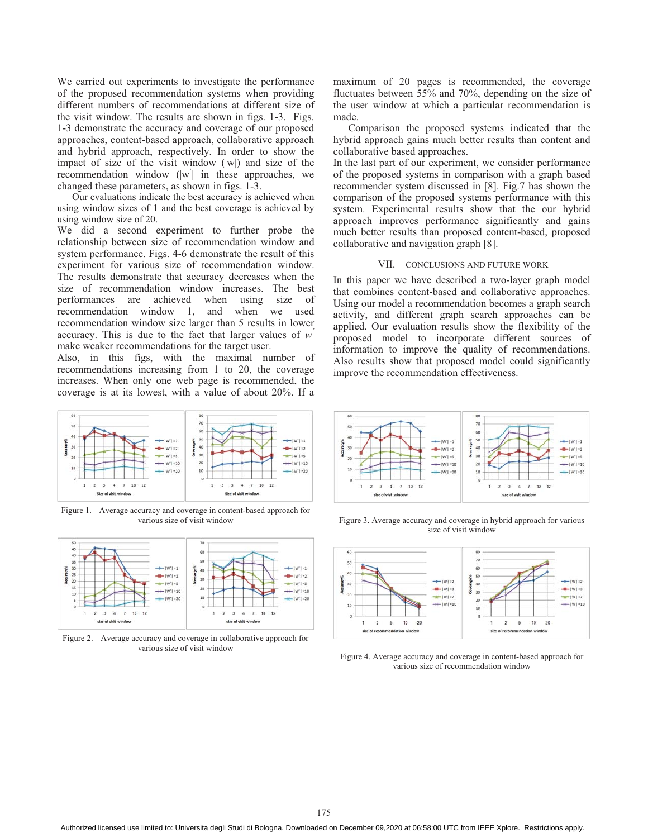We carried out experiments to investigate the performance of the proposed recommendation systems when providing different numbers of recommendations at different size of the visit window. The results are shown in figs. 1-3. Figs. 1-3 demonstrate the accuracy and coverage of our proposed approaches, content-based approach, collaborative approach and hybrid approach, respectively. In order to show the impact of size of the visit window  $(|w|)$  and size of the recommendation window  $(|w|)$  in these approaches, we changed these parameters, as shown in figs. 1-3.

Our evaluations indicate the best accuracy is achieved when using window sizes of 1 and the best coverage is achieved by using window size of 20.

We did a second experiment to further probe the relationship between size of recommendation window and system performance. Figs. 4-6 demonstrate the result of this experiment for various size of recommendation window. The results demonstrate that accuracy decreases when the size of recommendation window increases. The best performances are achieved when using size of recommendation window 1, and when we used recommendation window size larger than 5 results in lower accuracy. This is due to the fact that larger values of *w'* make weaker recommendations for the target user.

Also, in this figs, with the maximal number of recommendations increasing from 1 to 20, the coverage increases. When only one web page is recommended, the coverage is at its lowest, with a value of about 20%. If a



Figure 1. Average accuracy and coverage in content-based approach for various size of visit window



Figure 2. Average accuracy and coverage in collaborative approach for various size of visit window

maximum of 20 pages is recommended, the coverage fluctuates between 55% and 70%, depending on the size of the user window at which a particular recommendation is made.

Comparison the proposed systems indicated that the hybrid approach gains much better results than content and collaborative based approaches.

In the last part of our experiment, we consider performance of the proposed systems in comparison with a graph based recommender system discussed in [8]. Fig.7 has shown the comparison of the proposed systems performance with this system. Experimental results show that the our hybrid approach improves performance significantly and gains much better results than proposed content-based, proposed collaborative and navigation graph [8].

## VII. CONCLUSIONS AND FUTURE WORK

In this paper we have described a two-layer graph model that combines content-based and collaborative approaches. Using our model a recommendation becomes a graph search activity, and different graph search approaches can be applied. Our evaluation results show the flexibility of the proposed model to incorporate different sources of information to improve the quality of recommendations. Also results show that proposed model could significantly improve the recommendation effectiveness.



Figure 3. Average accuracy and coverage in hybrid approach for various size of visit window



Figure 4. Average accuracy and coverage in content-based approach for various size of recommendation window